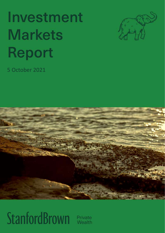# Investment **Markets Report**



5 October 2021



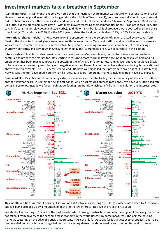#### **Investment markets take a breather in September**

**Australian shares** - In last month's report we noted that the Australian share market was not likely to extend its long run of eleven consecutive positive months (the longest since the middle of World War 2), because record dividend payouts would reduce share prices when they went ex-dividend. In the end, the local market ended 2.5% lower in September. Banks were up a little, but the big miners were down – with most players following their commodities prices – iron ore (down -26% due to China's construction slowdown and steel curbs), gold (down -8%), but fossil fuel producers were boosted by strong price rises in oil (+10%) and coal (+32%). For the 2021 year to date, the local market is ahead 11%, or 15% including dividends.

**International shares** – Global markets were down in September (with the exception of Japan, assisted by a weaker Yen). Most of the global tech-based giants were down (with the exception of Tesla and Netflix), and most other sectors were also weaker for the month. There were several contributing factors – including a revival of inflation fears, US debt ceiling / shutdown concerns, and slowdown in China, heightened by the 'Evergrande' crisis. We cover these in this edition.

**Interest rates** – Short term rates remained at their covid-era zero/sub-zero levels, but central banks everywhere have continued to prepare the market for rates starting to return to more 'normal' levels once inflation has taken hold and full employment has been reached. Toward the bottom of the left chart, inflation is now running well above target levels (likely to be temporary, recovering from last year's negative inflation). Unemployment rates have also been falling, but are still well above 'full employment'. The US Federal Reserve and RBA have well-signalled their program to scale out of QE asset buying. Norway was the first 'developed' country to hike rates, but several 'emerging' markets including Brazil have also started.

**Bond markets** – Despite central banks being extremely cautious and careful to flag their intentions, global investors suffered another 'inflation scare' in September, selling off bonds, which hurt returns on fixed rate bonds. We have very little fixed rate bonds in portfolios. Instead we favour high-grade floating rate bonds, which benefit from rising inflation and interest rates.



This month's edition is all about housing. First we look at Australia, as housing the is largest asset class owned by Australians, and it is being propped up by a mountain of debt at ultra-low interest rates, which are set to rise soon.

We also look at housing in China. For the past two decades, housing construction has been the engine of Chinese growth that has taken it from poverty to the second largest economy in the world (largest by some measures). The Chinese housing market is teetering on the edge of a crisis that presents risks not only for Australia (as it's largest export supplier), but it also has potential domino effects across global markets, including shares, bonds, interest rates, commodities and currencies.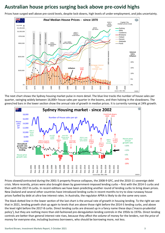#### **Australian house prices surging back above pre-covid highs**

Prices have surged well above pre-covid levels, despite lock-downs, high levels of under-employment, and jobs uncertainty.



The next chart shows the Sydney housing market pulse in more detail. The blue line tracks the number of house sales per quarter, swinging widely between 16,000+ house sales per quarter in the booms, and then halving in the slowdowns. The green/red bars in the lower section show the annual rate of growth in median prices. It is currently running at 24% growth.



Prices slowed/contracted during the 2001-5 property finance collapses, the 2008-9 GFC, and the 2010-11 sovereign debt crisis. More recently, prices were also brought down by government-imposed lending curbs – first with the 2014-5 curbs and then with the 2017-8 curbs. In recent editions we have been predicting another round of lending curbs to bring down prices. New Zealand and several other countries have introduced lending curbs in recent months to try to slow runaway house prices fuelled by debt at ultra-low interest rates. In Australia, the regulator APRA is likely to do the same very soon.

The black dotted line in the lower section of the last chart is the annual rate of growth in housing lending. To the right we see that in 2021, lending growth shot up again to levels that are above those right before the 2014-5 lending curbs, and above the level right before the 2017-8 curbs. Direct lending curbs are dressed up in a fancy name these days ('macro-prudential policy'), but they are nothing more than old-fashioned pre-deregulation lending controls in the 1950s to 1970s. Direct lending controls are better than general interest rate rises, because they affect the *volume* of money for the lenders, not the *price* of money for everyone else, including business borrowers, who should be borrowing more, not less.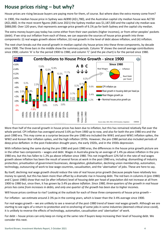#### **House prices rising – but why?**

House prices are rising because buyers are paying more for them, of course. But where does the extra money come from?

In 1900, the median house price in Sydney was A£890 (A\$1,780), and the Australian capital city median house was A£730 (A\$1,460). In the most recent figures (ABS June 2021) the Sydney median was \$1,187,500 and the capital city median was \$888,000. Over 120 years, that represents average price growth of 6.1% pa for both Sydney and the capital city median.

The extra money buyers pay today has come either from their own pockets (higher incomes), or from other peoples' pockets (debt). If we strip out inflation from each of these, we can separate the sources of house price growth into three components: (i) real wages growth above inflation, (ii) real growth in the level of debt above inflation, and (iii) inflation.

The next chart breaks out the overall growth in median capital city house prices into these three components, by decade since 1900. The three bars in the middle show the summary periods. Column 'B' shows the overall average contributions since 1900; column 'A' is for the period 1900 to 1980, and column 'C' (and the pie chart) is for the period since 1980.



More than half of the overall growth in house prices has been due to inflation, but this has remained relatively flat over the whole period. CPI inflation has averaged around 3.6% pa from 1900 up to now, and also for both the pre-1980 era and the post-1980 era. This may come as a surprise because the pre-1980 era included the WW1 and post-WW1 inflation spikes, the WW2 and Korean War inflation spikes, and the high inflation 1970s. However, the pre-1980 period also included periods of deep price deflation: in the post-Federation drought years, the early 1920s, and in the 1930s depression.

With inflation being the same during the pre-1980 and post-1980 eras, the differences in the house price growth picture are in the other two components – wages and debt. Wages in Australia grew by an average of 1.4% pa above inflation in the pre-1980 era, but this has fallen to 1.2% pa above inflation since 1980. This not insignificant 12% fall in the rate of real wages growth above inflation has been the result of several forces at work in the post-1980 era, including: dismantling of industry protection, privatisation of government businesses, deregulation, globalisation, declining union membership, automation, technology, outsourcing of work to low-wage countries, casualisation, and the 'uberisation' of jobs. These are here to say.

By itself, declining real wage growth should *reduce* the rate of real house price growth (because people have relatively less money to spend), but this has been more than offset by a dramatic rise in housing debt. The red bars in columns A (pre-1980) and C (post-1980) show that real (ie after inflation) level of housing debt per head of population did not increase at all from 1900 to 1980 but, since then, it has grown by 3.4% pa *above inflation*. *Since 1980, three-quarters of the growth in real house prices has come from increases in debts, and only one quarter of the growth has been due to higher incomes.*

Will house prices continue to rise? Looking at the outlook for each of these three components of house price growth –

For inflation - we estimate around 2-3% pa in the coming years, which is lower than the 3-4% average since 1900.

For real wages growth – we are unlikely to see a reversal of the post-1980 trend of lower real wages growth. Although we are starting to see signs of a return to protection and re-onshoring of some jobs in some industries (deemed critical since covid), it is unlikely to reverse the effects of technology, automation, casualisation and 'uberisation' of work.

For debt – house prices can only keep on rising at the same rate if buyers keep increasing their level of housing debt. We consider this next.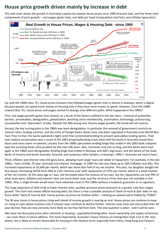#### **House price growth driven mainly by increase in debt**

The next chart shows the growth in Australian capital city median house prices since 1900 (maroon line), and the three main components of price growth – real wages (green line), real debt per head of population (red line), and inflation (grey bars).



Up until the 1980s (box 'A'), house prices (maroon line) followed wages (green line) in almost in lockstep, which is logical because people can spend more money on housing only if they have more money to spend. However, from the 1980s onward (box 'B'), house prices and wages started to diverge onto different paths. What happened in the 1980s?

First, real wages growth (green line) slowed, as a result of the factors outlined in the last story – removal of protection barriers, privatisation, deregulation, globalisation, declining union membership, automation, technology, outsourcing, casualisation and 'uberisation' of jobs. Despite the RBA pining over illusory wages growth, the trend will not reverse.

Second, the key turning point in the 1980s was bank deregulation, in particular the removal of government controls on interest rates, lending volumes, and the entry of foreign banks. Banks have only been regulated in Australia since World War Two. Prior to that, the banks operated a tight cartel that constrained lending to prevent speculative lending sprees. Their over-zealous conservatism was a result of the 1893 property/banking crash when half the banks in Australia closed their doors and many never re-opened. Lessons from the 1880s speculative lending binge that ended in the 1893 bank collapses kept the surviving banks ultra-prudent for the next 100 years. Alas, memories only last so long, and the banks went mad again in the 1980s post-deregulation lending binge that ended in Westpac and ANZ's big losses, and the failure of the State Banks of Victoria and South Australia, Pyramid, and numerous other lenders, in Keating's 1990-1 'recession we had to have'.

Third, inflation and interest rates fell (grey bars), allowing much larger loans per dollar of repayment. For example, in the late 1980s, I had a \$240k, 25-year 'principal and interest' mortgage. In 1989 the rate was hiked up to 18% (inflation was 8%). This increased repayments to \$3,640 per month, which was more than half of my net income. This year, my daughter bought her first house, borrowing \$475k from ANZ at 2.0% 'interest-only' with repayments of \$791 per month, which is a small fraction of her net income. At the same age as I was, she borrowed twice the amount of my loan, but her repayments are one fifth of what mine were. Inflation and interest rates are much lower now, and the structure of her loan was not available in the 1980s. Also, a single female would never have obtained a loan in the 1980s without a husband, guarantor or co-signatory.

This huge expansion of debt (red) at lower interest rates, pushed up house prices (maroon) at a greater rate than wages growth. The chart only shows official housing debt, but there is now a sizeable amount of 'bank of mum & dad' debt on top. Every dollar 'bank of mum & dad' money pushes up prices by another dollar – creating an upward spiral fuelled by 'FOMO'.

The 30-year boom in house prices rising well ahead of income growth is nearing an end. House prices can continue to keep on rising at rates above incomes only if interest rates continue to decline further. Interest rates have not only ended their 30 year decline, they are now certainly more likely to rise than fall from here. The only question is when - and it will be soon.

(We have not discussed some other elements in housing – population/immigration, home ownership and supply constraints – we cover these in future editions. The most importantly, Australia's heavy reliance on immigration took a hit in the lockdowns, but is likely to remain favourable for housing in the medium term, especially from China, Hong Kong and Taiwan).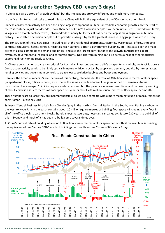### **China builds another 'Sydney CBD' every 3 days!**

In China, it is also a story of 'growth by debt', but the implications are very different, and much more immediate.

In the five minutes you will take to read this story, China will build the equivalent of one 50-story apartment block.

Chinese construction activity has been the single largest component in China's incredible economic growth since the start of the 21st century. In just two decades, more than half of China's 1.4 billion people have been 'urbanised' – shifted from farms, villages and obsolete factory towns, into hundreds of newly built cities. It has been the largest mass migration in human history. It also lifted one billion people out of poverty, making it by far the greatest increase in aggregate wealth in history.

The construction of these new cities – including all of the residential apartments, factories, warehouses, offices, shopping centres, restaurants, hotels, schools, hospitals, train stations, airports, government buildings, etc – has also been the main driver of global commodities demand and prices, and also the largest contributor to the growth in Australia's export revenues, government tax receipts, and corporate profits. Not just from mining, but also across a host of other industries exporting directly or indirectly to China.

As Chinese construction activity is so critical for Australian investors, and Australia's prosperity as a whole, we track it closely. Construction activity tends to be highly cyclical in nature – driven not just by supply and demand, but also by interest rates, lending policies and government controls to try to slow speculative bubbles and boost employment.

Here are the broad numbers - Since the turn of this century, China has built a total of 30 billion square metres of floor space (in apartment blocks, offices, schools, etc). That is the same as the land area of Belgium, or half of Tasmania. Annual construction has averaged 1.5 billion square meters per year, but the pace has increased over time, and is currently running at about 2.3 billion square metres of floor space per year, or about 200 million square metres of floor space per month.

These numbers are so large they are incomprehensible, so we have come up with a more meaningful unit of measurement of construction – a 'Sydney CBD'.

Sydney's 'Central Business District' - from Circular Quay in the north to Central Station in the South, from Darling Harbour in the west to Hyde Park in the east - contains about 20 million square metres of building floor space – including every floor in all of the office blocks, apartment blocks, hotels, shops, restaurants, hospitals, car parks, etc. It took 230 years to build all of this in Sydney, and much of it has been re-built, some several times over.

At China's current rate of building of around 200 million square metres of floor space per month, it means China is building the equivalent of ten 'Sydney CBDs' worth of buildings per month, or one 'Sydney CBD' every 3 days!

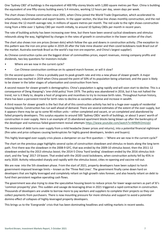One 'Sydney CBD' of buildings is the equivalent of 400 fifty-storey blocks with 1,000 square metres per floor. China is building the equivalent of one fifty-storey building every 5.4 minutes, working 12 hours per day, seven days per week.

The chart shows Chinese construction since 2001, when China joined the World Trade Organisation, which accelerated its urbanisation, industrialisation and export booms. In the upper section, the blue line shows monthly construction, and the red line shows the 12-month average rate, in millions of square metres per month. The red scale to the right shows construction rising from a little over 1 Sydney CBD per month initially, to around 10 Sydney CBDs per month in recent years.

The rate of building activity has been increasing over time, but there have been several cyclical slowdowns and stimulus rebounds along the way, highlighted by changes in the rates of growth in construction in the lower section of the chart.

The chart also shows iron ore prices (brown dots) which follow the ups and downs in construction activity. (The exception to this pattern was the iron ore price spike in 2019-20 after the Vale mine disaster and then covid lockdowns took Brazil out of the market. Australia overtook Brazil as the world's top iron ore exporter, and China's largest supplier).

As Chinese construction cycles are the biggest driver of commodities prices, export revenues, mining company profits and dividends, two key questions for investors include:

- Where are we now in the current cycle?
- Can Chinese construction continue on its upward march forever, or will it slow?

On the second question – China is probably past its peak growth rate and into a new phase of slower growth. A major milestone was reached in 2019 when China passed the point of 50% of its population being urbanised, and the pace is likely to be slower in the latter stages of urbanisation and construction from here.

A second reason for slower growth is demographics. China's population is aging rapidly and will soon start to decline. This is a consequence of Deng Xiaoping's 'one-child policy' from 1979. The policy was abandoned in 2016, but it has not halted the trend, nor is it likely to, despite a host of programs and incentives to try to increase birth rates. Throughout human history, there has been a persistent trend for birth rates to decline as societies urbanise and increase in wealth.

A third reason for slower growth is the fact that all of this construction activity has led to a huge over-supply of residential housing blocks. Construction has run well ahead of demand. There are several estimates of the extent of the over-supply, but it appears there may be up to some 90 million units – either completed and vacant, or un-completed and abandoned by failed property developers. This surplus equates to around 500 'Sydney CBDs' worth of buildings, or about 5 years' worth of construction in over-supply. Here is an example of 15 abandoned apartment blocks being blown up after the bankruptcy of the developer and numerous failed government revival attempts<https://www.youtube.com/watch?v=M9b9V2mUzjU>

The existence of debt turns over-supply from a mild headache (lower prices and returns), into a potential financial nightmare (fire sales and price collapses causing bankruptcies for highly geared developers, lenders and buyers).

This highly leveraged over-supply crisis places a dampener on our first question: – 'Where are we now in the current cycle?'

The chart on the previous page highlights several cycles of construction slowdown and stimulus re-boots along the long term path. First there was the slowdown in the 2008-9 GFC, that was ended by the 2009-10 stimulus boost; then the 2011-12 slowdown ended by the 2013 stimulus boost; the 2014-5 China 'hard landing' slowdown ended by the 2016 stimulus kickstart; and the 'long' 2017-19 boom. That ended with the 2020 covid lockdowns, when construction activity fell by 45% in early 2020. Activity rebounded sharply and rapidly with the stimulus boost, cities re-opening and vaccine roll-out.

We are now into the 5th slowdown phase. From the start of 2021, property developers have been subject to harsh government-imposed leverage limits – known as the 'Three Red Lines'. The government finally came down hard on developers that are highly leveraged and completely reliant on high growth rates forever, and also heavily reliant on debt to fund their persistent negative operating cash flows.

The government was also trying to slow the speculative housing boom to reduce prices for lower wage earners as part of Xi's 'common prosperity' plan. This sudden and savage de-leveraging drive in 2021 triggered a rapid contraction in construction. Thousands of developers are unable to borrow more to pay workers and suppliers to complete their projects so they can collect payments from purchasers. There is now mounting pressure for more stimulus and support to avoid a potential domino effect of collapses of highly-leveraged property developers.

This brings us to the 'Evergrande' crisis that has been dominating headlines and rattling markets in recent weeks.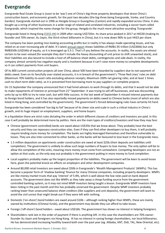### **Evergrande**

Evergrande Real Estate Group is (soon to be 'was') one of China's big-three property developers that drove China's construction boom, and economic growth, for the past two decades (the big-three being Evergrande, Vanke, and Country Garden). Evergrande started out in 1996 as Hengda Group in Guangzhou (Canton) and rapidly expanded across China. It also bought up a string of other businesses in a wide range of related and unrelated industries, including a soccer team called Evergrande, which inspired the name change for the group, Hengda to the much more attractive sounding 'Evergrande'.

Evergrande listed in Hong Kong [\(3333.HK\)](https://www.bloomberg.com/quote/3333:HK) in 2009 after raising US\$720m. Its share price peaked in 2017 at HK\$30 (making its founder and 70% owner, Xu Jiayin, the third richest billionaire in China), but it is now down 90% to just HK\$3 per share.

The company has been posting nice-looking accounting profits but in reality it has always made operating losses, and has relied on an ever-increasing pile of debt. It's lates[t annual report](https://doc.irasia.com/listco/hk/evergrande/annual/2020/ar2020.pdf) shows liabilities of RMB1.95 trillion (US\$300b) but only RMB350b (US\$54b) of equity, so it is leveraged up 5.5:1. That's if you believe the accounts. In reality, the assets are almost certain to be over-valued (for example they don't include the heavy discounting of unit prices to shift unwanted stock), and their liabilities are also bound to include a host of off-balance-sheet debts, contingencies and side-deals. In reality, the company almost certainly has negative equity and is insolvent because it can't raise more money to complete developments so it can collect payments from unit buyers.

Of its 800 current construction projects all over China, about 500 have been boarded by suppliers due to non-payment of debts owed. Even on its fancifully over-stated accounts, it is in breach of the government's 'Three Red Lines' rules on debt (Maximum 70% liability-to-asset ratio excluding advance receipts; Maximum 100% net gearing ratio; and at least 1 times cash-to-short-term debt ratio), so it is prevented from borrowing more to pay suppliers or complete projects.

On 15 September the company announced that it had hired advisers to work through its debts, and that it would not be able to make repayments of interest or principal from 21<sup>st</sup> September. It was trying to sell off businesses, and was discounting units by up to 40% to try to raise cash, but with little success. In the last week of September it missed interest payments due to foreign bond holders, and it has also reportedly missed payments on debts owed to Chinese banks (most of which are also listed in Hong Kong, and controlled by the government). The government's forced deleveraging rules have certainly hit hard.

Evergrande has been considered 'too big to fail' because of its sheer size and scale in such a critical industry in China's growth, and its huge impact on employment, suppliers, and home buyers.

In a liquidation there are strict rules dictating the order in which different classes of creditors and investors are paid. In this case it will probably be determined more by politics. Here are the main types of creditors/investors and how they may fare:

- Chinese (government controlled) banks are owed about US\$35b that we know about. They probably have the best security and they can repossess construction sites. Even if they can find other developers to buy them, it will probably require lending more money for completion. The banks are highly leveraged themselves and therefore vulnerable to losses. They are also inter-connected to other banks, so the banks will be favoured to lose least in the Evergrande mess.
- 1.5 million depositors on apartments under construction are owed at least \$25b (their deposits are liabilities until completion). The government is unlikely to allow such large numbers of buyers to lose money. The only option will be to allow the completion of the units, meaning more money must come from somewhere. Competing developers are not an option at that scale, so the only way out probably is the government putting in more money to fund completion.
- Local suppliers probably make up the largest proportion of the liabilities. The government will be keen to avoid losses here, given the potential knock-on effects on employers and other development companies.
- Around 80,000 retail investors are owed about \$50b in Evergrande's 'Wealth Management Products' (WMPs). This has become a popular form of 'shadow banking' finance for many Chinese companies, including property developers. WMPs are like money market trusts that pay 'interest' of 5-8%, which is well above the low rates paid on bank deposit accounts. The government does not like WMPs as they take away a cheap funding source from the government controlled banking system, so it may not mind WMP investors being taught a lesson. Evergrande WMP investors have been rioting in the past month and this has probably unnerved the government. Despite WMP investors probably ranking lower than unsecured balance sheet creditors (like suppliers and unit deposits), the government will want to avoid the civil unrest that might break out if they were left with nothing.
- Domestic ('on-shore') bond holders are owed around \$10b although ranking higher than WMPs, these are mainly owned by institutions (Chinese funds), and the government may decide they can afford to take losses.
- Foreign ('off-shore') bond holders owed about US\$16b. The government has shown no interest in helping foreigners.
- Shareholders rank last in the order of payment if there is anything left. In this case the shareholders are 70% ownerfounder Xu Jiayin and foreigners via Hong Kong. Xi has no interest in saving foreign shareholders, nor local billionaires. He has demonstrated increasing hostility toward both over the past year (eg. Alibaba, ANT, Didi, TAL, New Oriental, etc).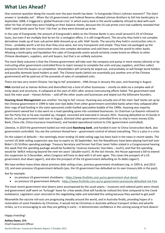### **What Lies Ahead?**

One common question doing the rounds over the past month has been: 'Is Evergrande China's Lehman moment?' The short answer is 'probably not'. When the US government and Federal Reserve allowed Lehman Brothers to fall into bankruptcy in September 2008, it triggered a 'global financial crisis' in which every bank in the world suddenly refused to deal with each other for fear of what they were holding on their balance sheets, because the US sub-prime crisis had suddenly revealed that 'AAA' rated bonds were far from 'risk-free' as they were dressed up to be.

In the case of Evergrande, the amount of Evergrande's debts to the Chinese Banks is very small (around 0.1% of Chinese loans, but even if we multiply that by ten for a contagion effect, it is still insignificant). The security they hold is not complex derivatives made up of toxic sub-prime debt dressed up as safe 'AAA' bonds. The security they hold is construction sites in China – probably worth a lot less than they once were, but very transparent and simple. They have not packaged up the Evergrande debt (nor the construction sites) into complex derivatives and sold them around the world to other banks. Allowing a bankruptcy and liquidation fire-sales of Evergrande assets would certainly create knock-on effects to other Chinese developers, suppliers, and unit buyers, but that is an unlikely outcome.

The most likely outcome is that the Chinese government will take over the company and pump in more money (directly or by instructing other government-controlled firms to inject money) to complete the units and pay suppliers, and then collect payments from the buyers on completion. Shareholders will certainly be wiped out, and probably so will foreign bond holders and possibly domestic bond holders as well. The Chinese banks (which are essentially just another arm of the Chinese government) will be paid out of the proceeds of sales of completed units.

There are two very recent Chinese 'too big to fail' precedents - HNA Group in January this year, and Huarong in August.

**HNA** started out as Hainan Airlines and diversified into a host of other businesses – mostly on debt via a complex web of tricky deals and structures. It collapsed at the start of 2021 after several restructuring efforts failed. The government took back the main asset – Hainan Airlines – sold off the other assets and businesses and wiped out the billionaire founders.

**Huarong Asset Management** was another 'too big to fail' rescue. Huarong was actually one of the main 'bad' banks set up by the Chinese government in 1999 to take over bad debts from other government-controlled banks when they collapsed after their orgy of bad lending in the state-sponsored credit-fuelled speculative bubble of the 1990s. Huarong was majority government-owned but it also went on a mad spending spree into unrelated businesses. Its Chairman Lai Xiaomin refused to toe the Party line so he was rounded up, charged, convicted and executed in January 2021. Huarong defaulted on its bonds in March, so the government took over in August, directed other government-controlled firms to chip in more money (Citic Bank, China Life, China Insurance Investment), and handed operational control to Citic (government-controlled).

Likewise, in 2019 the government bailed out mid-sized **Baoshang bank**, and handed it over to China Construction Bank, also government-controlled. You see the common thread here – government control of almost everything. This is a plus in a crisis.

On the subject of defaults – the seemingly never-ending US debt ceiling saga has been back in the news in recent weeks. The current US debt ceiling suspension was due to expire on 30 September, but the Republicans have been playing hard ball over Biden's \$3.5trillion spending package. Treasury Secretary and former Fed Chair Janet Yellen stated in a Congressional hearing this week that the spending package would be funded by 'revenue measures' (tax hikes – ouch!), and that the spending would be 'deficit reducing beyond the next ten years' (double-ouch!). At the last minute, the House approved a bill to extend the suspension to 3 December, when Congress will have to deal with it all over again. This raises the prospect of a US government shut-down (again!), and also the prospect of the US government defaulting on its debts (again!).

We have written many times about previous debt ceiling crises, previous government shutdowns (eg. in 1995-6, and 2012- 13), and even previous US government defaults (yes, the US government has defaulted on its own treasury bills in the past).

See for example:

- on previous US government shutdowns <https://www.firstlinks.com.au/us-government-shut-done/>
- on previous US government defaults <https://www.firstlinks.com.au/us-government-previously-defaulted-risk-free>

The most recent government shut-downs were accompanied by the usual yawns – museums and national parks were closed, and government staff went on 'furlough' leave for a few weeks (that will hardly be noticed this time compared to the Covid lockdowns). Legislators soon returned to the negotiating table and extended the ceiling because they wanted to get paid!

Meanwhile the vaccine roll-outs are progressing steadily around the world, and in Australia finally, providing hopes of a restoration of some freedoms by Christmas. It would not be Christmas in Australia without transport strikes and wharfie strikes, so it is encouraging to see they are getting in early – it demonstrates confidence in the coming easing of lock-downs!

Happy investing!